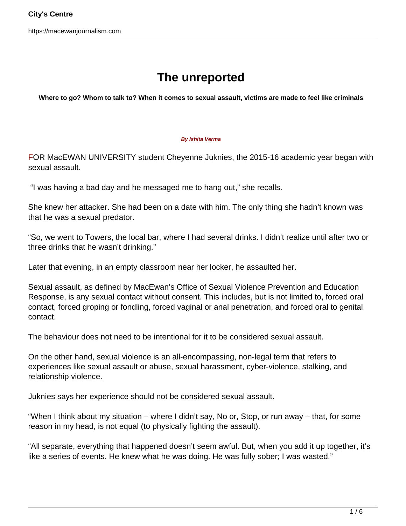## **The unreported**

**Where to go? Whom to talk to? When it comes to sexual assault, victims are made to feel like criminals**

## **By Ishita Verma**

FOR MacEWAN UNIVERSITY student Cheyenne Juknies, the 2015-16 academic year began with sexual assault.

"I was having a bad day and he messaged me to hang out," she recalls.

She knew her attacker. She had been on a date with him. The only thing she hadn't known was that he was a sexual predator.

"So, we went to Towers, the local bar, where I had several drinks. I didn't realize until after two or three drinks that he wasn't drinking."

Later that evening, in an empty classroom near her locker, he assaulted her.

Sexual assault, as defined by MacEwan's Office of Sexual Violence Prevention and Education Response, is any sexual contact without consent. This includes, but is not limited to, forced oral contact, forced groping or fondling, forced vaginal or anal penetration, and forced oral to genital contact.

The behaviour does not need to be intentional for it to be considered sexual assault.

On the other hand, sexual violence is an all-encompassing, non-legal term that refers to experiences like sexual assault or abuse, sexual harassment, cyber-violence, stalking, and relationship violence.

Juknies says her experience should not be considered sexual assault.

"When I think about my situation – where I didn't say, No or, Stop, or run away – that, for some reason in my head, is not equal (to physically fighting the assault).

"All separate, everything that happened doesn't seem awful. But, when you add it up together, it's like a series of events. He knew what he was doing. He was fully sober; I was wasted."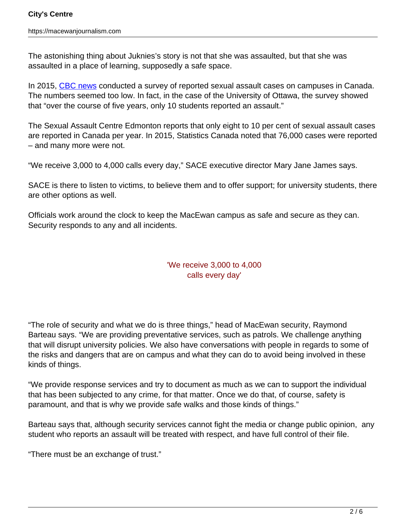The astonishing thing about Juknies's story is not that she was assaulted, but that she was assaulted in a place of learning, supposedly a safe space.

In 2015, [CBC news](https://www.cbc.ca/news/canada/sex-assault-reporting-on-canadian-campuses-worryingly-low-say-experts-1.2948321) conducted a survey of reported sexual assault cases on campuses in Canada. The numbers seemed too low. In fact, in the case of the University of Ottawa, the survey showed that "over the course of five years, only 10 students reported an assault."

The Sexual Assault Centre Edmonton reports that only eight to 10 per cent of sexual assault cases are reported in Canada per year. In 2015, Statistics Canada noted that 76,000 cases were reported – and many more were not.

"We receive 3,000 to 4,000 calls every day," SACE executive director Mary Jane James says.

SACE is there to listen to victims, to believe them and to offer support; for university students, there are other options as well.

Officials work around the clock to keep the MacEwan campus as safe and secure as they can. Security responds to any and all incidents.

## 'We receive 3,000 to 4,000 calls every day'

"The role of security and what we do is three things," head of MacEwan security, Raymond Barteau says. "We are providing preventative services, such as patrols. We challenge anything that will disrupt university policies. We also have conversations with people in regards to some of the risks and dangers that are on campus and what they can do to avoid being involved in these kinds of things.

"We provide response services and try to document as much as we can to support the individual that has been subjected to any crime, for that matter. Once we do that, of course, safety is paramount, and that is why we provide safe walks and those kinds of things."

Barteau says that, although security services cannot fight the media or change public opinion, any student who reports an assault will be treated with respect, and have full control of their file.

"There must be an exchange of trust."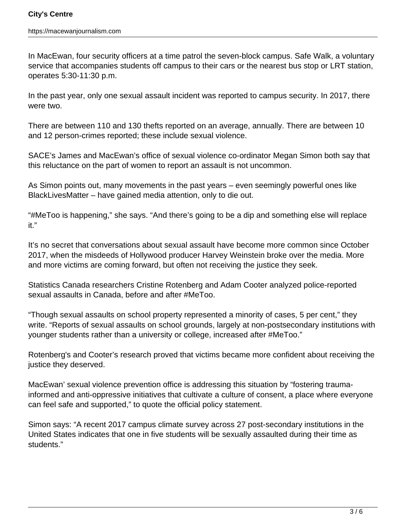In MacEwan, four security officers at a time patrol the seven-block campus. Safe Walk, a voluntary service that accompanies students off campus to their cars or the nearest bus stop or LRT station, operates 5:30-11:30 p.m.

In the past year, only one sexual assault incident was reported to campus security. In 2017, there were two.

There are between 110 and 130 thefts reported on an average, annually. There are between 10 and 12 person-crimes reported; these include sexual violence.

SACE's James and MacEwan's office of sexual violence co-ordinator Megan Simon both say that this reluctance on the part of women to report an assault is not uncommon.

As Simon points out, many movements in the past years – even seemingly powerful ones like BlackLivesMatter – have gained media attention, only to die out.

"#MeToo is happening," she says. "And there's going to be a dip and something else will replace it."

It's no secret that conversations about sexual assault have become more common since October 2017, when the misdeeds of Hollywood producer Harvey Weinstein broke over the media. More and more victims are coming forward, but often not receiving the justice they seek.

Statistics Canada researchers Cristine Rotenberg and Adam Cooter analyzed police-reported sexual assaults in Canada, before and after #MeToo.

"Though sexual assaults on school property represented a minority of cases, 5 per cent," they write. "Reports of sexual assaults on school grounds, largely at non-postsecondary institutions with younger students rather than a university or college, increased after #MeToo."

Rotenberg's and Cooter's research proved that victims became more confident about receiving the justice they deserved.

MacEwan' sexual violence prevention office is addressing this situation by "fostering traumainformed and anti-oppressive initiatives that cultivate a culture of consent, a place where everyone can feel safe and supported," to quote the official policy statement.

Simon says: "A recent 2017 campus climate survey across 27 post-secondary institutions in the United States indicates that one in five students will be sexually assaulted during their time as students."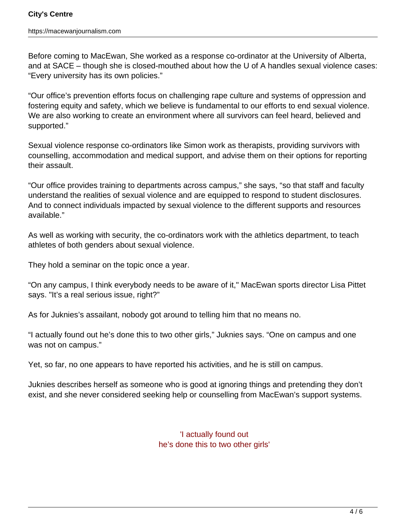Before coming to MacEwan, She worked as a response co-ordinator at the University of Alberta, and at SACE – though she is closed-mouthed about how the U of A handles sexual violence cases: "Every university has its own policies."

"Our office's prevention efforts focus on challenging rape culture and systems of oppression and fostering equity and safety, which we believe is fundamental to our efforts to end sexual violence. We are also working to create an environment where all survivors can feel heard, believed and supported."

Sexual violence response co-ordinators like Simon work as therapists, providing survivors with counselling, accommodation and medical support, and advise them on their options for reporting their assault.

"Our office provides training to departments across campus," she says, "so that staff and faculty understand the realities of sexual violence and are equipped to respond to student disclosures. And to connect individuals impacted by sexual violence to the different supports and resources available."

As well as working with security, the co-ordinators work with the athletics department, to teach athletes of both genders about sexual violence.

They hold a seminar on the topic once a year.

"On any campus, I think everybody needs to be aware of it," MacEwan sports director Lisa Pittet says. "It's a real serious issue, right?"

As for Juknies's assailant, nobody got around to telling him that no means no.

"I actually found out he's done this to two other girls," Juknies says. "One on campus and one was not on campus."

Yet, so far, no one appears to have reported his activities, and he is still on campus.

Juknies describes herself as someone who is good at ignoring things and pretending they don't exist, and she never considered seeking help or counselling from MacEwan's support systems.

> 'I actually found out he's done this to two other girls'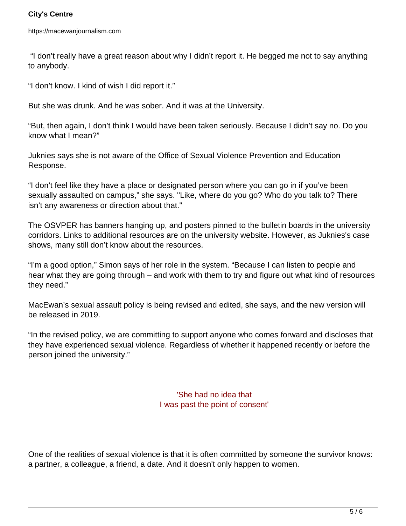"I don't really have a great reason about why I didn't report it. He begged me not to say anything to anybody.

"I don't know. I kind of wish I did report it."

But she was drunk. And he was sober. And it was at the University.

"But, then again, I don't think I would have been taken seriously. Because I didn't say no. Do you know what I mean?"

Juknies says she is not aware of the Office of Sexual Violence Prevention and Education Response.

"I don't feel like they have a place or designated person where you can go in if you've been sexually assaulted on campus," she says. "Like, where do you go? Who do you talk to? There isn't any awareness or direction about that."

The OSVPER has banners hanging up, and posters pinned to the bulletin boards in the university corridors. Links to additional resources are on the university website. However, as Juknies's case shows, many still don't know about the resources.

"I'm a good option," Simon says of her role in the system. "Because I can listen to people and hear what they are going through – and work with them to try and figure out what kind of resources they need."

MacEwan's sexual assault policy is being revised and edited, she says, and the new version will be released in 2019.

"In the revised policy, we are committing to support anyone who comes forward and discloses that they have experienced sexual violence. Regardless of whether it happened recently or before the person joined the university."

> 'She had no idea that I was past the point of consent'

One of the realities of sexual violence is that it is often committed by someone the survivor knows: a partner, a colleague, a friend, a date. And it doesn't only happen to women.